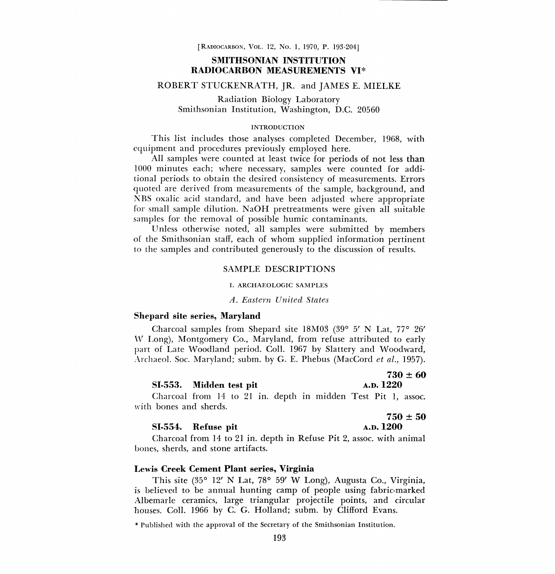### SMITHSONIAN INSTITUTION RADIOCARBON MEASUREMENTS VI\*

#### ROBERT STUCKENRATH, JR, and JAMES E. MIELKE

Radiation Biology Laboratory Smithsonian Institution, Washington, D.C. 20560

#### INTRODUCTION

This list includes those analyses completed December, 1968, with equipment and procedures previously employed here.

All samples were counted at least twice for periods of not less than 1000 minutes each; where necessary, samples were counted for additional periods to obtain the desired consistency of measurements. Errors quoted are derived from measurements of the sample, background, and NBS oxalic acid standard, and have been adjusted where appropriate for small sample dilution. NaOH pretreatments were given all suitable samples for the removal of possible humic contaminants.

Unless otherwise noted, all samples were submitted by members of the Smithsonian staff, each of whom supplied information pertinent to the samples and contributed generously to the discussion of results.

#### SAMPLE DESCRIPTIONS

#### I. ARCHAEOLOGIC SAMPLES

#### A. Eastern United States

#### Shepard site series, Maryland

Charcoal samples from Shepard site 18M03 (39° 5' N Lat, 77° 26' W Long), Montgomery Co., Maryland, from refuse attributed to early part of Late Woodland period. Coll. 1967 by Slattery and Woodward, Archaeol. Soc. Maryland; subm. by G. E. Phebus (MacCord et al., 1957).

#### SI-553. Midden test pit

 $730 \pm 60$ <br>A.D.  $1220$ 

Charcoal from 14 to 21 in. depth in midden Test Pit 1, assoc. with bones and sherds.

### SI-554. Refuse pit A.D. 1200

## $750 \pm 50$

Charcoal from 14 to 21 in. depth in Refuse Pit 2, assoc. with animal bones, sherds, and stone artifacts.

#### Lewis Creek Cement Plant series, Virginia

This site (35° 12' N Lat, 78° 59' W Long), Augusta Co., Virginia, is believed to be annual hunting camp of people using fabric-marked Albemarle ceramics, large triangular projectile points, and circular houses. Coll. 1966 by C. G. Holland; subm. by Clifford Evans.

<sup>\*</sup> Published with the approval of the Secretary of the Smithsonian Institution.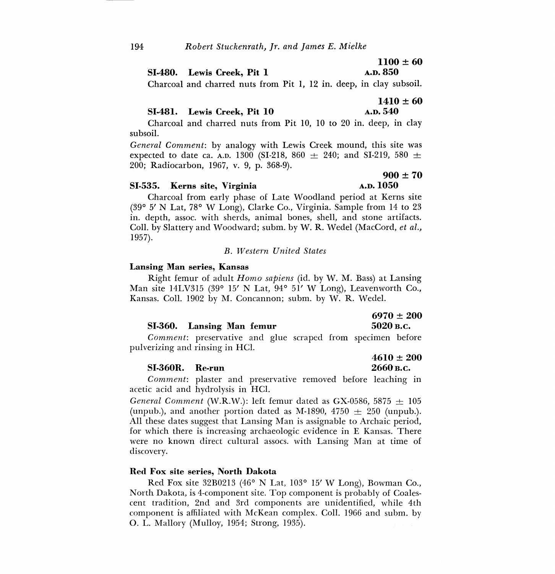$1100 \pm 60$ SI-480. Lewis Creek, Pit 1 A.D. 850

Charcoal and charred nuts from Pit 1, 12 in, deep, in clay subsoil.

### SI-481. Lewis Creek, Pit 10 A.D. 540

Charcoal and charred nuts from Pit 10, 10 to 20 in, deep, in clay subsoil.

General Comment: by analogy with Lewis Creek mound, this site was expected to date ca. A.D. 1300 (SI-218, 860  $\pm$  240; and SI-219, 580  $\pm$ 200; Radiocarbon, 1967, v. 9, p. 368-9).

#### SI-535. Kerns site, Virginia

Charcoal from early phase of Late Woodland period at Kerns site (39° 5' N Lat, 78° W Long), Clarke Co., Virginia. Sample from 14 to 23 in. depth, assoc. with sherds, animal bones, shell, and stone artifacts. Coll, by Slattery and Woodward; subm, by W. R. Wedel (MacCord, et al., 1957).

#### B. Western United States

#### Lansing Man series, Kansas

Right femur of adult Homo sapiens (id. by W. M. Bass) at Lansing Man site 14LV315 (39° 15' N Lat, 94° 51' W Long), Leavenworth Co., Kansas. Coll. 1902 by M. Concannon; subm. by W. R. Wedel.

|                           | $6970 \pm 200$ |
|---------------------------|----------------|
| SI-360. Lansing Man femur | 5020 в.с.      |

Comment: preservative and glue scraped from specimen before pulverizing and rinsing in HC1.

SI-360R. Re-run 2660 B.C. Comment: plaster and preservative removed before leaching in

acetic acid and hydrolysis in HCI.

General Comment (W.R.W.): left femur dated as GX-0586, 5875  $\pm$  105 (unpub.), and another portion dated as M-1890,  $4750 + 250$  (unpub.). All these dates suggest that Lansing Man is assignable to Archaic period, for which there is increasing archaeologic evidence in E Kansas. There were no known direct cultural assocs. with Lansing Man at time of discovery.

#### Red Fox site series, North Dakota

Red Fox site 32B0213 (46° N Lat, 103° 15' W Long), Bowman Co., North Dakota, is 4-component site. Top component is probably of Coalescent tradition, 2nd and 3rd components are unidentified, while 4th component is affiliated with McKean complex. Coll. 1966 and subm. by 0. L. Mallory (Mulloy, 1954; Strong, 1935).

 $1410 \pm 60$ 

 $900 \pm 70$ <br>A.D. 1050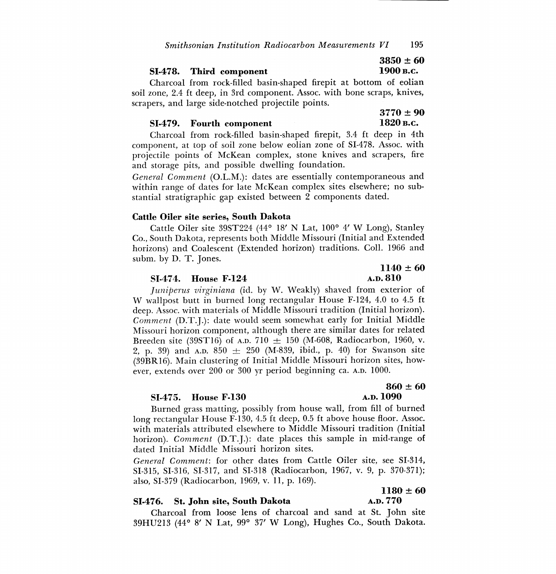#### SI-478. Third component 1900 B.C.

# $3850 \pm 60$

 $3770 \pm 90$ 

Charcoal from rock-filled basin-shaped firepit at bottom of eolian soil zone, 2.4 ft deep, in 3rd component. Assoc. with bone scraps, knives, scrapers, and large side-notched projectile points.

## SI-479. Fourth component 1820 B.C.

Charcoal from rock-filled basin-shaped firepit, 3.4 ft deep in 4th component, at top of soil zone below eolian zone of SI-478. Assoc. with projectile points of McKean complex, stone knives and scrapers, fire and storage pits, and possible dwelling foundation.

General Comment (O.L.M.): dates are essentially contemporaneous and within range of dates for late McKean complex sites elsewhere; no substantial stratigraphic gap existed between 2 components dated.

### Cattle Oiler site series, South Dakota

Cattle Oiler site 39ST224 (44° 18' N Lat,  $100^{\circ}$  4' W Long), Stanley Co., South Dakota, represents both Middle Missouri (Initial and Extended horizons) and Coalescent (Extended horizon) traditions. Coll. 1966 and subm. by D. T. Jones.

### **SI-474.** House F-124

# $1140 \pm 60$ <br>A.D. 810

Juniberus virginiana (id. by W. Weakly) shaved from exterior of W wallpost butt in burned long rectangular House F-124, 4.0 to 4.5 ft deep. Assoc. with materials of Middle Missouri tradition (Initial horizon). Comment (D.T.J.): date would seem somewhat early for Initial Middle Missouri horizon component, although there are similar dates for related Breeden site (39ST16) of A.D. 710  $\pm$  150 (M-608, Radiocarbon, 1960, v. 2, p. 39) and A.D.  $850 \pm 250$  (M-839, ibid., p. 40) for Swanson site (39BR16). Main clustering of Initial Middle Missouri horizon sites, however, extends over 200 or 300 yr period beginning ca. A.D. 1000.

### SI-475. House F-130 **A.D.** 1090

# $860 \pm 60$

Burned grass matting, possibly from house wall, from fill of burned long rectangular House F-130, 4.5 ft deep, 0.5 ft above house floor. Assoc. with materials attributed elsewhere to Middle Missouri tradition (Initial horizon). Comment (D.T.J.): date places this sample in mid-range of dated Initial Middle Missouri horizon sites.

General Comment: for other dates from Cattle Oiler site, see SI-314, SI-315, SI-316, S1-3l7, and SI-318 (Radiocarbon, 1967, v. 9, p. 370-371); also, SI-379 (Radiocarbon, 1969, v. 11, p. 169).

### SI.476. St. John site, South Dakota A.D. 770

# $1180 \pm 60$

Charcoal from loose lens of charcoal and sand at St. John site  $39HU213$  (44° 8' N Lat, 99° 37' W Long), Hughes Co., South Dakota.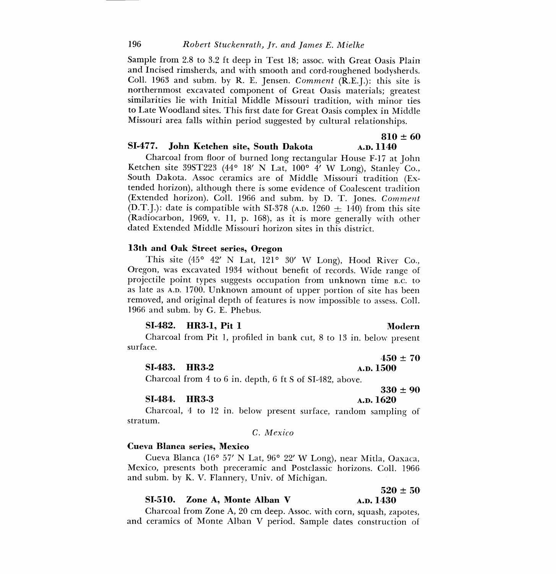### 196 Robert Stuckenrath, Jr. and James E. Mielke

Sample from 2.8 to 3.2 ft deep in Test 18; assoc. with Great Oasis Plain and Incised rimsherds, and with smooth and cord-roughened bodysherds. Coll. 1963 and subm. by R. E. Jensen. Comment (R.E.J.): this site is northernmost excavated component of Great Oasis materials; greatest similarities lie with Initial Middle Missouri tradition, with minor ties to Late Woodland sites. This first date for Great Oasis complex in Middle Missouri area falls within period suggested by cultural relationships.

#### $810 \pm 60$ SI-477. John Ketchen site, South Dakota (A.D. 1140)

Charcoal from floor of burned long rectangular House F-17 at John Ketchen site  $395T223$  (44° 18' N Lat, 100° 4' W Long), Stanley Co., South Dakota. Assoc ceramics are of Middle Missouri tradition (Ex tended horizon), although there is some evidence of Coalescent tradition (Extended horizon). Coll. 1966 and subm. by D. T. Jones. Comment (D.T.J.): date is compatible with SI-378 (A.D. 1260  $\pm$  140) from this site (Radiocarbon, 1969, v. 11, p. 168), as it is more generally with other dated Extended Middle Missouri horizon sites in this district.

#### 13th and Oak Street series, Oregon

This site (45° 42' N Lat, 121° 30' W Long), Hood River Co., Oregon, was excavated 1934 without benefit of records. Wide range of projectile point types suggests occupation from unknown time B.C. to as late as A.D. 1700. Unknown amount of upper portion of site has been removed, and original depth of features is now impossible to assess. Coll. 1966 and subm, by G. E. Phebus.

#### SI-482. HR3-1, Pit 1 Modern

### Charcoal from Pit 1, profiled in bank cut, 8 to 13 in. below present surface.

Charcoal from 4 to 6 in. depth, 6 ft S of SI-482, above.

SI-483. HR3-2

### SI-484. HR3-3 A.D. 1620

Charcoal, 4 to 12 in, below present surface, random sampling or stratum.

#### C. Mexico

#### Cueva Blanca series, Mexico

Cueva Blanca (16° 57' N Lat, 96° 22' W Long), near Mitla, Oaxaca, Mexico, presents both preceramic and Postclassic horizons. Coll. 1966 and subm. by K. V. Flannery, Univ. of Michigan.

#### SI-510. Zone A, Monte Alban V  $A.D. 1430$

## $520 \pm 50$

Charcoal from Zone A, 20 cm deep. Assoc. with corn, squash, zapotes, and ceramics of Monte Alban V period. Sample dates construction of

# $450 \pm 70$ <br>A.D. 1500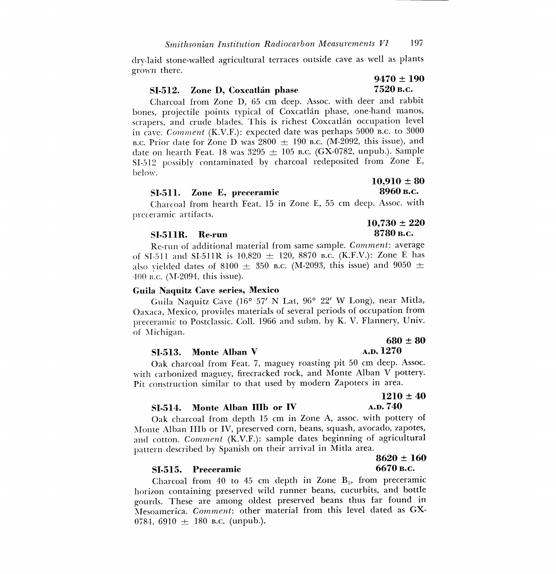dry-laid stone-walled agricultural terraces outside cave as well as plants grown there.

## SI-512. Zone D, Coxcatlán phase 7520 B.C.

Charcoal from Zone D, 65 cm deep. Assoc. with deer and rabbit bones, projectile points typical of Coxcatlán phase, one-hand manos, scrapers, and crude blades. This is richest Coxcatlán occupation level in cave. Comment (K.V.F.): expected date was perhaps 5000 B.C. to 3000 B.C. Prior date for Zone D was 2800  $\pm$  190 B.C. (M-2092, this issue), and date on hearth Feat. 18 was  $3295 \pm 105$  B.C. (GX-0782, unpub.). Sample SI-512 possibly contaminated by charcoal redeposited from Zone E, below.

### SI-511. Zone E, preceramic 8960 B.C.

Charcoal from hearth Feat. 15 in Zone E, 55 cm deep. Assoc. with preceramic artifacts.

### SI-511R. Re-run 8780 B.C.

Re-run of additional material from same sample. Comment: average of SI-511 and SI-511R is 10,820  $\pm$  120, 8870 B.C. (K.F.V.): Zone E has also yielded dates of 8100  $\pm$  350 B.C. (M-2093, this issue) and 9050  $\pm$ 400 B,c. (M-2094, this issue).

### Guila Naquitz Cave series, Mexico

Guila Naquitz Cave (16° 57' N Lat, 96° 22' W Long), near Mitla, Oaxaca, Mexico, provides materials of several periods of occupation from preceramic to Postclassic. Coll. 1966 and subm. by K. V. Flannery, Univ. of Michigan.

### SI-513. Monte Alban V  $A.D. 1270$

Oak charcoal from Feat. 7, maguey roasting pit 50 cm deep. Assoc. with carbonized maguey, firecracked rock, and Monte Alban V pottery. Pit construction similar to that used by modern Zapotecs in area.

## SI-514. Monte Alban IIIb or IV A.D. 740

## Oak charcoal from depth 15 cm in Zone A, assoc. with pottery of Monte Alban IIIb or IV, preserved corn, beans, squash, avocado, zapotes, and cotton. Comment (K.V.F.): sample dates beginning of agricultural pattern described by Spanish on their arrival in Mitla area.

## SI.515. Preceramic 6670 B.C. Charcoal from 40 to 45 cm depth in Zone  $B_2$ , from preceramic

horizon containing preserved wild runner beans, cucurbits, and bottle gourds. These are among oldest preserved beans thus far found in Mesoamerica. Comment: other material from this level dated as GX-0784, 6910  $\pm$  180 B.C. (unpub.).

# $10,730 \pm 220$

## $10.910 \pm 80$

 $680 \pm 80$ 

 $1210 \pm 40$ 

 $8620 \pm 160$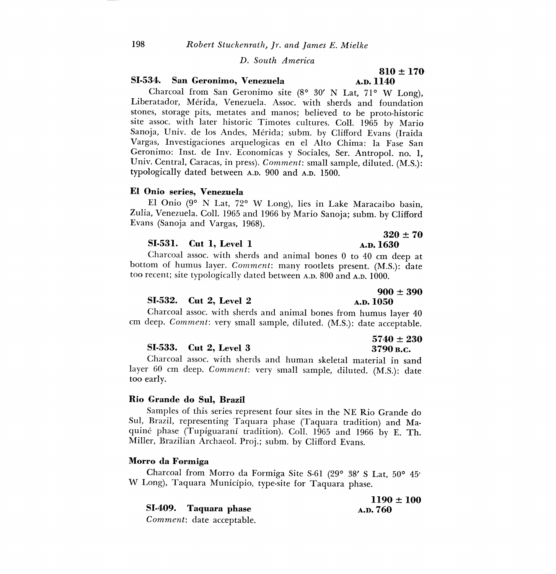#### D. South America

#### SI-534. San Geronimo, Venezuela

# $810 \pm 170$ <br>A.D. 1140

Charcoal from San Geronimo site (8° 30' N Lat, 71° W Long), Liberatador, Merida, Venezuela. Assoc. with sherds and foundation stones, storage pits, metates and manos; believed to be proto-historic site assoc. with later historic Timotes cultures. Coll. 1965 by Mario Sanoja, Univ. de los Andes, Mérida; subm. by Clifford Evans (Iraida Vargas, Investigaciones arquelogicas en el Alto Chima: la Fase San Geronimo: Inst. de Inv. Economicas y Sociales, Ser. Antropol. no. 1, Univ. Central, Caracas, in press). Comment: small sample, diluted. (M.S.): typologically dated between A.D. 900 and A.D. 1500.

#### El Onio series, Venezuela

E1 Onio (9° N Lat, 72° W Long), lies in Lake Maracaibo basin, Zulia, Venezuela. Coll. 1965 and 1966 by Mario Sanoja; subm. by Clifford Evans (Sanoja and Vargas, 1968).

#### SI-531. Cut 1, Level 1 A.D. 1630

## $320 \pm 70$

Charcoal assoc. with sherds and animal bones 0 to 40 cm deep at bottom of humus layer. Comment: many rootlets present. (M.S.): date too recent; site typologically dated between A.D. 800 and A.D. 1000.

#### SI-532. Cut 2, Level 2  $A.D. 1050$

# $900 \pm 390$

Charcoal assoc. with sherds and animal bones from humus layer 40 cm deep. Comment: very small sample, diluted. (M.S.): date acceptable.

|                        | $5740 \pm 230$ |
|------------------------|----------------|
| SI-533. Cut 2, Level 3 | 3790 в.с.      |

Charcoal assoc. with sherds and human skeletal material in sand layer 60 cm deep. Comment: very small sample, diluted. (M.S.): date too early.

#### Rio Grande do Sul, Brazil

Samples of this series represent four sites in the NE Rio Grande do Sul, Brazil, representing Taquara phase (Taquara tradition) and Maquine phase (Tupiguarani tradition). Coll. 1965 and 1966 by E. Th. Miller, Brazilian Archaeol. Proj.; subm, by Clifford Evans.

#### Morro da Formiga

Charcoal from Morro da Formiga Site 5-61 (29° 38' S Lat, 50° 45' W Long), Taquara Municipio, type-site for Taquara phase.

|                         | $1190 \pm 100$ |
|-------------------------|----------------|
| SI-409.   Taquara phase | A.D. 760       |

Comment: date acceptable.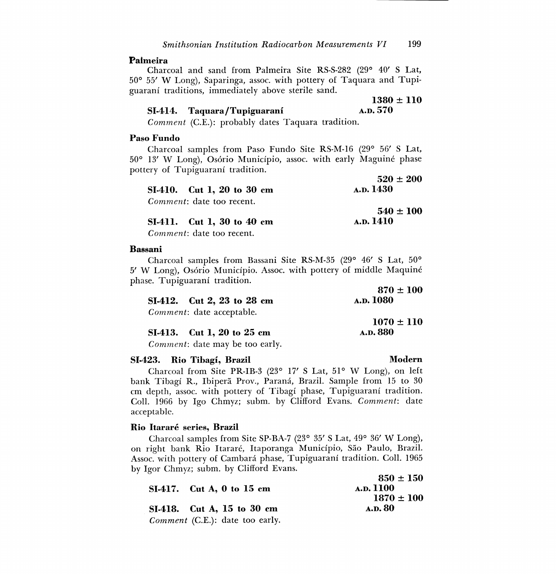#### Palmeira

Charcoal and sand from Palmeira Site RS-S-282 (29° 40' S Lat, 50° 55' W Long), Saparinga, assoc. with pottery of Taquara and Tupiguarani traditions, immediately above sterile sand.

### SI-414. Taquara/Tupiguaraní

 $1380 \pm 110$ <br>A.D. 570

Comment (C.E.): probably dates Taquara tradition.

### Paso Fundo

Charcoal samples from Paso Fundo Site RS-M-16 (29° 56' S Lat, 50° 13′ W Long), Osório Município, assoc. with early Maguiné phase pottery of Tupiguarani tradition.  $520 + 200$ 

| SI-410. Cut 1, 20 to 30 cm        | $\boldsymbol{\mu}$ . $\boldsymbol{\mu}$<br>A.D. 1430 |
|-----------------------------------|------------------------------------------------------|
| <i>Comment</i> : date too recent. | $540 \pm 100$                                        |
| SI-411. Cut 1, 30 to 40 cm        | A.D. 1410                                            |
| <i>Comment</i> : date too recent. |                                                      |

#### Bassani

Charcoal samples from Bassani Site RS-M-35 (29° 46' S Lat, 50° 5' W Long), Osório Município. Assoc. with pottery of middle Maquiné phase. Tupiguarani tradition.  $870 + 700$ 

| SI-412. Cut 2, 23 to 28 cm        | 870 I 100<br>A.D. 1080            |
|-----------------------------------|-----------------------------------|
| <i>Comment</i> : date acceptable. |                                   |
| SI-413. Cut 1, 20 to 25 cm        | $1070 \pm 110$<br><b>A.D.</b> 880 |

Comment: date may be too early.

#### SI.423. Rio Tibagi, Brazil Modern

Charcoal from Site PR-IB-3 (23° 17' S Lat, 51° W Long), on left bank Tibagí R., Ibiperã Prov., Paraná, Brazil. Sample from 15 to 30 cm depth, assoc. with pottery of Tibagi phase, Tupiguarani tradition. Coll. 1966 by Igo Chmyz; subm. by Clifford Evans. Comment: date acceptable.

#### Rio Itarare series, Brazil

Charcoal samples from Site SP-BA-7 (23° 35' S Lat, 49° 36' W Long), on right bank Rio Itararé, Itaporanga Município, São Paulo, Brazil. Assoc. with pottery of Cambara phase, Tupiguarani tradition. Coll. 1965 by Igor Chmyz; subm. by Clifford Evans.  $950 + 150$ 

| $SI-417.$ Cut A, 0 to 15 cm            | $0.00 \pm 1.00$<br>A.D. 1100 |
|----------------------------------------|------------------------------|
|                                        | $1870 \pm 100$               |
| SI-418. Cut A, 15 to 30 cm             | <b>A.D. 80</b>               |
| <i>Comment</i> (C.E.): date too early. |                              |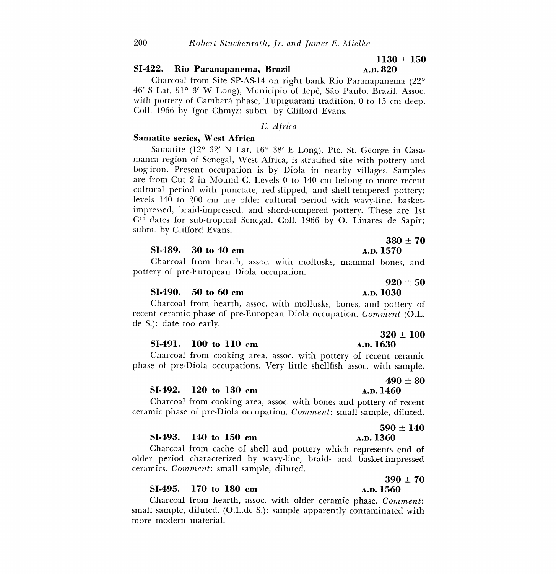# $1130 \pm 150$ <br>A.D. 820

Charcoal from Site SP-AS-14 on right bank Rio Paranapanema (22° 46' S Lat, 51 ° 3' W Long), Municipio of Iepe, Sao Paulo, Brazil. Assoc. with pottery of Cambará phase, Tupiguaraní tradition, 0 to 15 cm deep. Coll. 1966 by Igor Chmyz; subm. by Clifford Evans.

#### E. Africa

### Samatite series, West Africa

SI-422. Rio Paranapanema, Brazil

Samatite (12° 32' N Lat, 16° 38' E Long), Pte. St. George in Casamanca region of Senegal, West Africa, is stratified site with pottery and bog-iron. Present occupation is by Diola in nearby villages. Samples are from Cut 2 in Mound C. Levels 0 to 140 cm belong to more recent cultural period with punctate, red-slipped, and shell-tempered pottery; levels 140 to 200 cm are older cultural period with wavy-line, basketimpressed, braid-impressed, and sherd-tempered pottery. These are 1st  $C<sup>14</sup>$  dates for sub-tropical Senegal. Coll. 1966 by O. Linares de Sapir; subm. by Clifford Evans.

Charcoal from hearth, assoc. with mollusks, mammal bones, and pottery of pre-European Diola occupation.

SI-489.  $30 \text{ to } 40 \text{ cm}$  A.D. 1570

#### SI-490. 50 to 60 cm A.D. 1030

# $920 \pm 50$

Charcoal from hearth, assoc. with mollusks, bones, and pottery of recent ceramic phase of pre-European Diola occupation. Comment (O.L. de S.): date too early.

#### SI-491. 100 to 110 cm A.D. 1630

## $320 \pm 100$

 $380 \pm 70$ 

Charcoal from cooking area, assoc. with pottery of recent ceramic phase of pre-Diola occupations. Very little shellfish assoc. with sample.

### SI-492.  $120 \text{ to } 130 \text{ cm}$  A.D.  $1460$

# $490 \pm 80$

Charcoal from cooking area, assoc. with bones and pottery of recent ceramic phase of pre-Diola occupation. Comment: small sample, diluted.

## SI-493. 140 to 150 cm A.D. 1360

# $590 \pm 140$

Charcoal from cache of shell and pottery which represents end of older period characterized by wavy-line, braid- and basket-impressed ceramics. Comment: small sample, diluted.

### $390 \pm 70$

Charcoal from hearth, assoc. with older ceramic phase. Comment: small sample, diluted. (O.L.de S.): sample apparently contaminated with more modern material.

SI-495. 170 to 180 cm A.D. 1560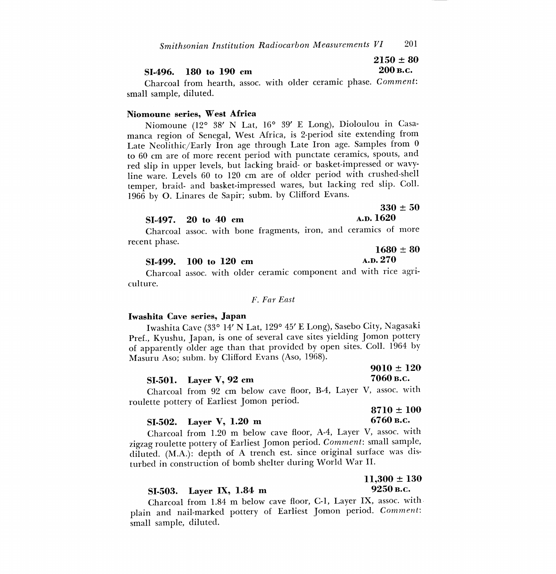# $2150 \pm 80$ <br>200 в.с.

#### SI-496. 180 to 190 cm

Charcoal from hearth, assoc. with older ceramic phase. Comment: small sample, diluted.

#### Niomoune series, West Africa

Niomoune (12° 38' N Lat, 16° 39' E Long), Dioloulou in Casamanca region of Senegal, West Africa, is 2-period site extending from Late Neolithic/Early Iron age through Late Iron age. Samples from <sup>0</sup> to 60 cm are of more recent period with punctate ceramics, spouts, and red slip in upper levels, but lacking braid- or basket-impressed or wavyline ware. Levels 60 to 120 cm are of older period with crushed-shell temper, braid- and basket-impressed wares, but lacking red slip. Coll. 1966 by O. Linares de Sapir; subm. by Clifford Evans.

 $330 \pm 50$ <br>A.D.  $1620$ 

## $SI-497.$  20 to 40 cm

Charcoal assoc. with bone fragments, iron, and ceramics of more recent phase.

### SI-499. 100 to 120 cm A.D. 270

Charcoal assoc. with older ceramic component and with rice agriculture.

#### F. Tar East

#### Iwashita Cave series, Japan

Iwashita Cave (33° 14' N Lat, 129° 45' E Long), Sasebo City, Nagasaki Pref., Kyushu, Japan, is one of several cave sites yielding Jomon pottery of apparently older age than that provided by open sites. Coll. 1964 by Masuru Aso; subm. by Clifford Evans (Aso, 1968).

## $9010 \pm 120$ SI.501. Layer V, 92 cm 7060 B.C.

 $8710 \pm 100$ 

Charcoal from 92 cm below cave floor, B-4, Layer V, assoc. with roulette pottery of Earliest Jomon period.

### SI.502. Layer V,  $1.20 \text{ m}$  6760 B.C.

Charcoal from 1.20 m below cave floor, A-4, Layer V, assoc. with zigzag roulette pottery of Earliest Jomon period. Comment: small sample, diluted. (M.A.): depth of A trench est. since original surface was disturbed in construction of bomb shelter during World War II.

# 11,300 ± 130

## SI-503. Layer IX, 1.84 m 9250 B.C.

Charcoal from 1.84 m below cave floor, C-1, Layer IX, assoc. with plain and nail-marked pottery of Earliest Jomon period. Comment: small sample, diluted.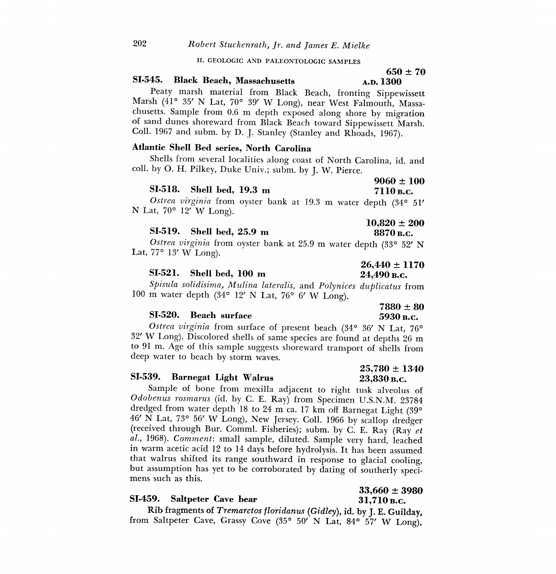## 202 Robert Stuckenrath, Jr. and James E. Mielke

II. GEOLOGIC AND PALEONTOLOGIC SAMPLES

# $650 \pm 70$ <br>A.D. 1300

SI-545. Black Beach, Massachusetts **A.D. 1300**<br>Peaty marsh material from Black Beach, fronting Sippewissett Marsh (41° 35' N Lat, 70° 39' W Long), near West Falmouth, Massa-chusetts. Sample from 0.6 m depth exposed along shore by migration of sand dunes shoreward from Black Beach toward Sippewissett Marsh. Coll. 1967 and subm, by D. J. Stanley (Stanley and Rhoads, 1967).

### Atlantic Shell Bed series, North Carolina

Shells from several localities along coast of North Carolina, id. and coll. by 0. H. Pilkey, Duke Univ.; subm, by J. W. Pierce.

### SI-518. Shell bed, 19.3 m

# $9060 \pm 100$ <br>7110 в.с.

Ostrea virginia from oyster bank at 19.3 m water depth (34° 51' N Lat, 70° 12' W Long).

### $10,820 \pm 200$ <br>8870 B.C.  $SI-519.$  Shell bed,  $25.9~m$

Ostrea virginia from oyster bank at 25.9 m water depth (33° 52' N Lat, 77° 13' W Long).

### $SI-521.$  Shell bed, 100 m.

# $26,440 \pm 1170$ <br>24,490 B.C.

 $25,780 \pm 1340$ <br> $23,830$  B.C.

Spisula solidisima, Mulina lateralis, and Polynices duplicatus from 100 m water depth (34° 12' N Lat, 76° 6' W Long).

### SI-520. Beach surface  $5930 B.C.$

# $7880 \pm 80$

Ostrea virginia from surface of present beach (34° 36' N Lat, 76° 32' W Long). Discolored shells of same species are found at depths 26 m to 91 m. Age of this sample suggests shoreward transport of shells from deep water to beach by storm waves.

#### SI-539. Barnegat Light Walrus

Sample of bone from mexilla adjacent to right tusk alveolus of Odobenus rosmarus (id. by C. E. Ray) from Specimen U.S.N.M. <sup>23784</sup> dredged from water depth 18 to 24 m ca. 17 km off Barnegat Light (39° 46' N Lat, 73° 56' W Long), New Jersey. Coll. 1966 by scallop dredger (received through Bur. Comml. Fisheries); subm. by C. E. Ray (Ray et al., 1968). Comment: small sample, diluted. Sample very hard, leached in warm acetic acid 12 to 14 days before hydrolysis. It has been assumed that walrus shifted its range southward in response to glacial cooling, but assumption has yet to be corroborated by dating of southerly specimens such as this.

#### SI-459. Saltpeter Cave bear

# $33,660 \pm 3980$ <br> $31,710$  B.C.

Rib fragments of *Tremarctos floridanus* (Gidley), id. by J. E. Guilday, from Saltpeter Cave, Grassy Cove (35° 50' N Lat, 84° 57' W Long),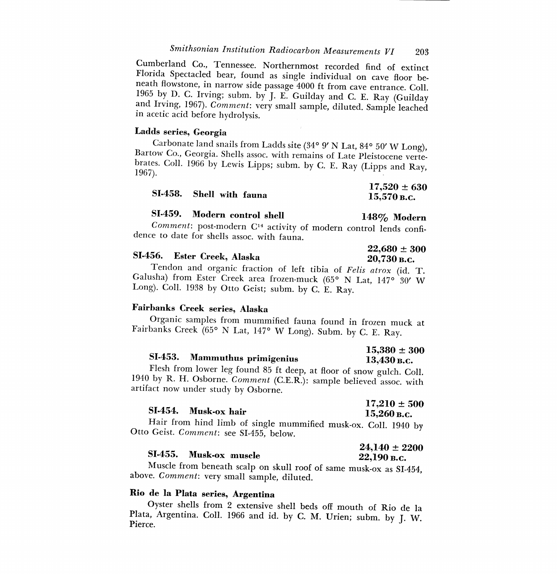Cumberland Co., Tennessee. Northernmost recorded find of extinct Florida Spectacled bear, found as single individual on cave floor be-<br>neath flowstone, in narrow side passage 4000 ft from cave entrance. Coll.<br>1965 by D. C. and Irving, 1967). Comment: very small sample, diluted. Sample leached in acetic acid before hydrolysis.

## Ladds series, Georgia

Carbonate land snails from Ladds site (34° 9' N Lat, 84° 50' W Long), Bartow Co., Georgia. Shells assoc. with remains of Late Pleistocene verte- brates. Coll. 1966 by Lewis Lipps; subm. by C. E. Ray (Lipps and Ray, 1967).

|                          | $17,520 \pm 630$ |
|--------------------------|------------------|
| SI-458. Shell with fauna | 15,570 в.с.      |

SI-459. Modern control shell 148% Modern

Comment: post-modern  $C^{14}$  activity of modern control lends confidence to date for shells assoc. with fauna.

|                             | $22,680 \pm 300$ |
|-----------------------------|------------------|
| SI-456. Ester Creek, Alaska | $20,730$ B.C.    |
|                             |                  |

Tendon and organic fraction of left tibia of Felis atrox (id. T. Galusha) from Ester Creek area frozen-muck (65° N Lat, 147° 30' W Long). Coll. 1938 by Otto Geist; subm. by C. E. Ray.

Fairbanks Creek series, Alaska<br>Organic samples from mummified fauna found in frozen muck at Fairbanks Creek (65° N Lat, 147° W Long). Subm. by C. E. Ray.

|                   |                       | $15,380 \pm 300$ |  |
|-------------------|-----------------------|------------------|--|
| <b>SI-453.</b>    | Mammuthus primigenius | 13,430 в.с.      |  |
| <b>Section 18</b> |                       |                  |  |

Flesh from lower leg found 85 ft deep, at floor of snow gulch. Coll. 1940 by R. H. Osborne. Comment (C.E.R.): sample believed assoc. with artifact now under study by Osborne.

| SI-454.   Musk-ox hair                                                                                                                                      | $17,210 \pm 500$<br>$15,260$ B.C. |
|-------------------------------------------------------------------------------------------------------------------------------------------------------------|-----------------------------------|
| $\mathbf{H}$ air from $\mathbf{L}$ ind $\mathbf{L}$ $\mathbf{L}$ $\mathbf{L}$ $\mathbf{L}$ $\mathbf{L}$ $\mathbf{L}$ $\mathbf{L}$ $\mathbf{L}$ $\mathbf{L}$ |                                   |

Hair from hind limb of single mummified musk-ox. Coll. 1940 by Otto Geist. Comment: see SI-455, below.

|                        | $24,140 \pm 2200$ |
|------------------------|-------------------|
| SI-455. Musk-ox muscle | 22,190 в.с.       |

Muscle from beneath scalp on skull roof of same musk-ox as SI-454, above. Comment: very small sample, diluted.

## Rio de la Plata series, Argentina

Oyster shells from 2 extensive shell beds off mouth of Rio de la Plata, Argentina. Coll. 1966 and id. by C. M. Urien; subm. by J. W. Pierce.